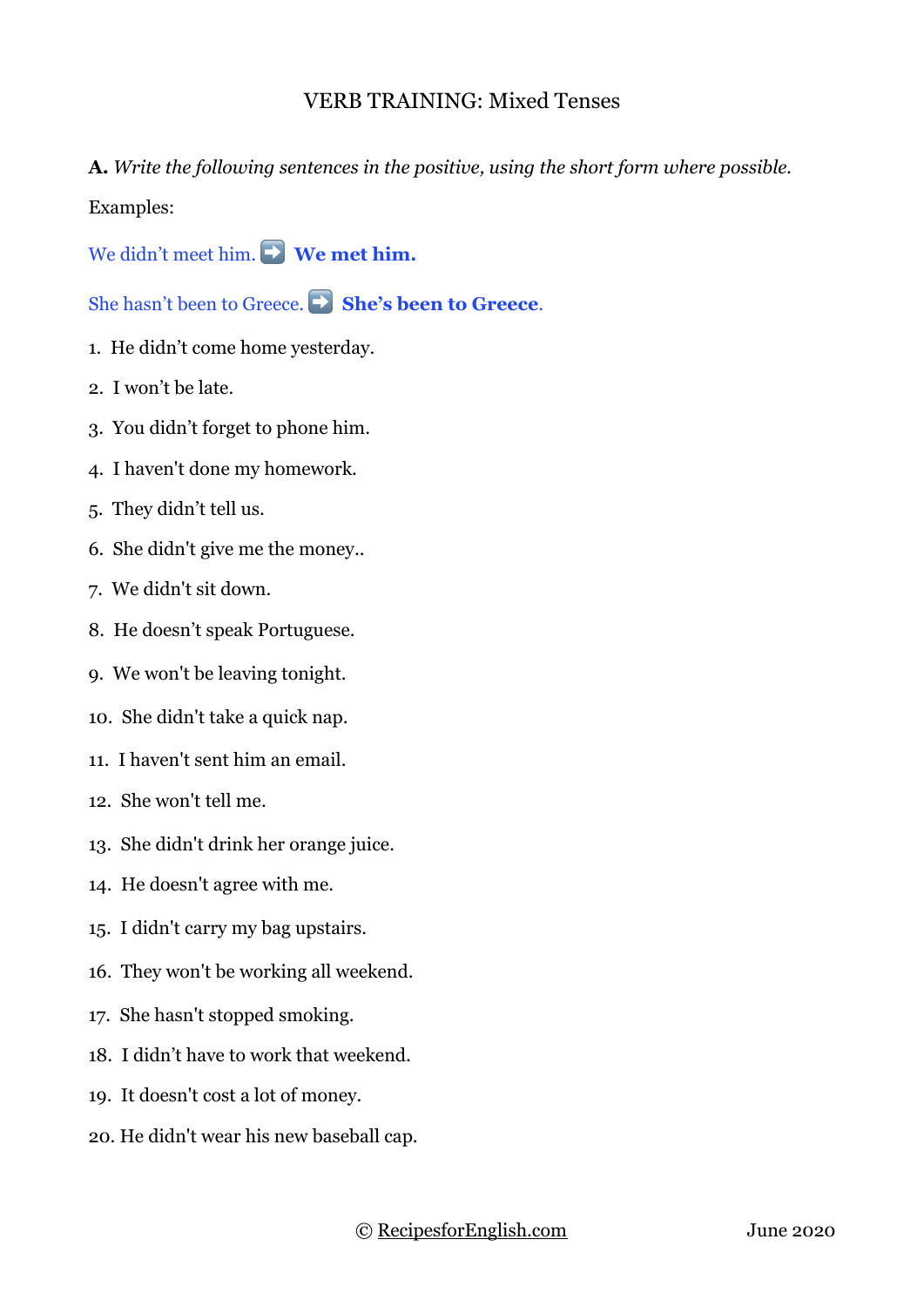## VERB TRAINING: Mixed Tenses

**A.** *Write the following sentences in the positive, using the short form where possible.*

Examples:

We didn't meet him. ➡ **We met him.**

She hasn't been to Greece. ➡ **She's been to Greece**.

- 1. He didn't come home yesterday.
- 2. I won't be late.
- 3. You didn't forget to phone him.
- 4. I haven't done my homework.
- 5. They didn't tell us.
- 6. She didn't give me the money..
- 7. We didn't sit down.
- 8. He doesn't speak Portuguese.
- 9. We won't be leaving tonight.
- 10. She didn't take a quick nap.
- 11. I haven't sent him an email.
- 12. She won't tell me.
- 13. She didn't drink her orange juice.
- 14. He doesn't agree with me.
- 15. I didn't carry my bag upstairs.
- 16. They won't be working all weekend.
- 17. She hasn't stopped smoking.
- 18. I didn't have to work that weekend.
- 19. It doesn't cost a lot of money.
- 20. He didn't wear his new baseball cap.